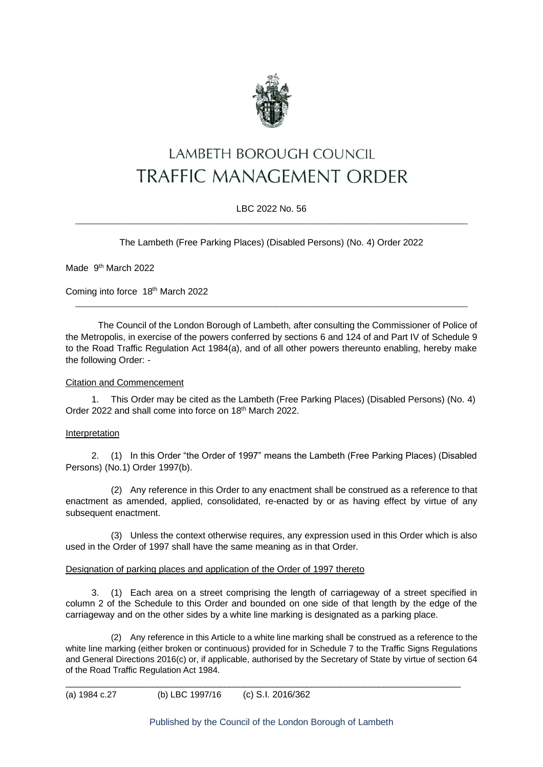

# LAMBETH BOROUGH COUNCIL **TRAFFIC MANAGEMENT ORDER**

#### LBC 2022 No. 56  $\_$  , and the set of the set of the set of the set of the set of the set of the set of the set of the set of the set of the set of the set of the set of the set of the set of the set of the set of the set of the set of th

The Lambeth (Free Parking Places) (Disabled Persons) (No. 4) Order 2022

Made 9<sup>th</sup> March 2022

Coming into force 18<sup>th</sup> March 2022

The Council of the London Borough of Lambeth, after consulting the Commissioner of Police of the Metropolis, in exercise of the powers conferred by sections 6 and 124 of and Part IV of Schedule 9 to the Road Traffic Regulation Act 1984(a), and of all other powers thereunto enabling, hereby make the following Order: -

\_\_\_\_\_\_\_\_\_\_\_\_\_\_\_\_\_\_\_\_\_\_\_\_\_\_\_\_\_\_\_\_\_\_\_\_\_\_\_\_\_\_\_\_\_\_\_\_\_\_\_\_\_\_\_\_\_\_\_\_\_\_\_\_\_\_\_\_\_\_\_\_\_\_\_\_\_\_\_\_\_\_\_\_\_\_

#### Citation and Commencement

1. This Order may be cited as the Lambeth (Free Parking Places) (Disabled Persons) (No. 4) Order 2022 and shall come into force on 18<sup>th</sup> March 2022.

#### Interpretation

2. (1) In this Order "the Order of 1997" means the Lambeth (Free Parking Places) (Disabled Persons) (No.1) Order 1997(b).

(2) Any reference in this Order to any enactment shall be construed as a reference to that enactment as amended, applied, consolidated, re-enacted by or as having effect by virtue of any subsequent enactment.

(3) Unless the context otherwise requires, any expression used in this Order which is also used in the Order of 1997 shall have the same meaning as in that Order.

#### Designation of parking places and application of the Order of 1997 thereto

3. (1) Each area on a street comprising the length of carriageway of a street specified in column 2 of the Schedule to this Order and bounded on one side of that length by the edge of the carriageway and on the other sides by a white line marking is designated as a parking place.

(2) Any reference in this Article to a white line marking shall be construed as a reference to the white line marking (either broken or continuous) provided for in Schedule 7 to the Traffic Signs Regulations and General Directions 2016(c) or, if applicable, authorised by the Secretary of State by virtue of section 64 of the Road Traffic Regulation Act 1984.

\_\_\_\_\_\_\_\_\_\_\_\_\_\_\_\_\_\_\_\_\_\_\_\_\_\_\_\_\_\_\_\_\_\_\_\_\_\_\_\_\_\_\_\_\_\_\_\_\_\_\_\_\_\_\_\_\_\_\_\_\_\_\_\_\_\_\_\_\_\_\_\_\_\_\_\_\_\_\_\_\_\_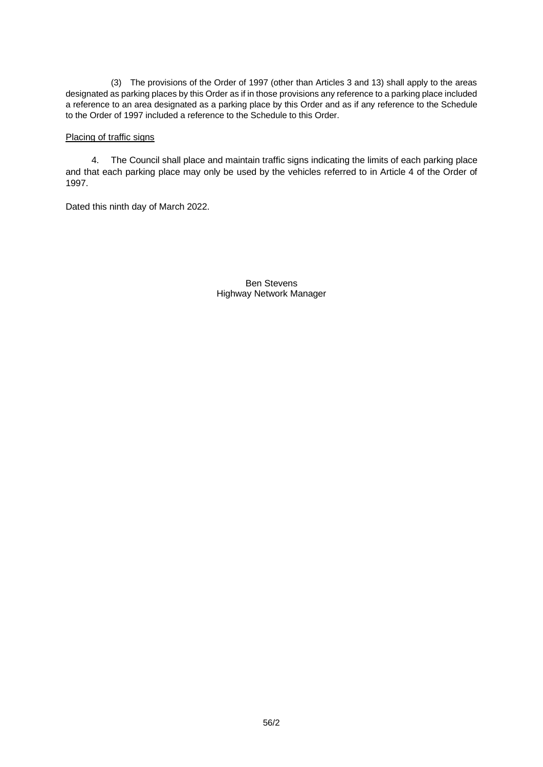(3) The provisions of the Order of 1997 (other than Articles 3 and 13) shall apply to the areas designated as parking places by this Order as if in those provisions any reference to a parking place included a reference to an area designated as a parking place by this Order and as if any reference to the Schedule to the Order of 1997 included a reference to the Schedule to this Order.

#### Placing of traffic signs

4. The Council shall place and maintain traffic signs indicating the limits of each parking place and that each parking place may only be used by the vehicles referred to in Article 4 of the Order of 1997.

Dated this ninth day of March 2022.

Ben Stevens Highway Network Manager